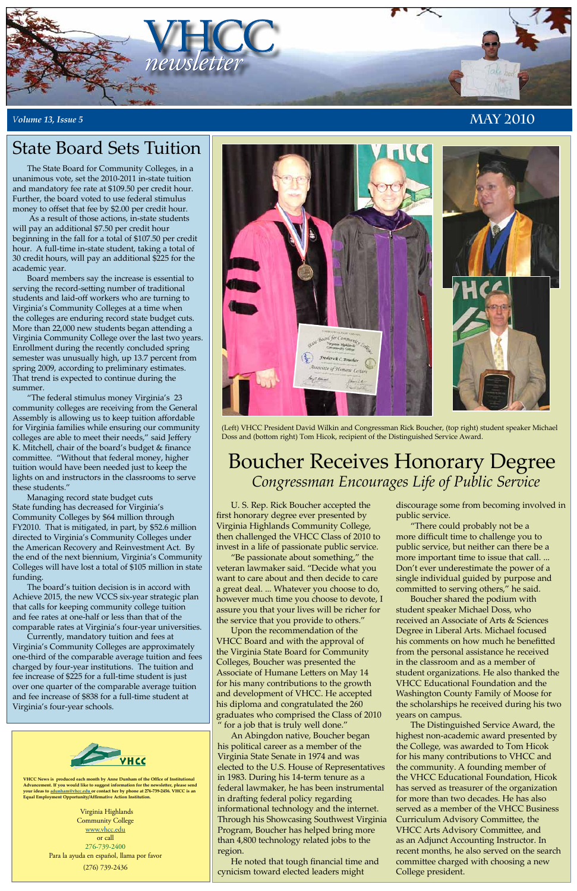

#### *<sup>V</sup>olume 13, Issue 5* **May 2010**



**VHCC News is produced each month by Anne Dunham of the Office of Institutional Advancement. If you would like to suggest information for the newsletter, please send your ideas to adunham@vhcc.edu or contact her by phone at 276-739-2456. VHCC is an Equal Employment Opportunity/Affirmative Action Institution.**

> Virginia Highlands Community College www.vhcc.edu or call 276-739-2400 Para la ayuda en español, llama por favor (276) 739-2436

# Boucher Receives Honorary Degree *Congressman Encourages Life of Public Service*

The State Board for Community Colleges, in a unanimous vote, set the 2010-2011 in-state tuition and mandatory fee rate at \$109.50 per credit hour. Further, the board voted to use federal stimulus money to offset that fee by \$2.00 per credit hour.

 As a result of those actions, in-state students will pay an additional \$7.50 per credit hour beginning in the fall for a total of \$107.50 per credit hour. A full-time in-state student, taking a total of 30 credit hours, will pay an additional \$225 for the academic year.

Board members say the increase is essential to serving the record-setting number of traditional students and laid-off workers who are turning to Virginia's Community Colleges at a time when the colleges are enduring record state budget cuts. More than 22,000 new students began attending a Virginia Community College over the last two years. Enrollment during the recently concluded spring semester was unusually high, up 13.7 percent from spring 2009, according to preliminary estimates. That trend is expected to continue during the summer.

"The federal stimulus money Virginia's 23 community colleges are receiving from the General Assembly is allowing us to keep tuition affordable for Virginia families while ensuring our community colleges are able to meet their needs," said Jeffery K. Mitchell, chair of the board's budget & finance committee. "Without that federal money, higher tuition would have been needed just to keep the lights on and instructors in the classrooms to serve these students."

Managing record state budget cuts State funding has decreased for Virginia's Community Colleges by \$64 million through FY2010. That is mitigated, in part, by \$52.6 million directed to Virginia's Community Colleges under the American Recovery and Reinvestment Act. By the end of the next biennium, Virginia's Community Colleges will have lost a total of \$105 million in state funding.

The board's tuition decision is in accord with Achieve 2015, the new VCCS six-year strategic plan that calls for keeping community college tuition and fee rates at one-half or less than that of the comparable rates at Virginia's four-year universities.

Currently, mandatory tuition and fees at Virginia's Community Colleges are approximately one-third of the comparable average tuition and fees charged by four-year institutions. The tuition and fee increase of \$225 for a full-time student is just over one quarter of the comparable average tuition and fee increase of \$838 for a full-time student at Virginia's four-year schools.



# State Board Sets Tuition

U. S. Rep. Rick Boucher accepted the first honorary degree ever presented by Virginia Highlands Community College, then challenged the VHCC Class of 2010 to invest in a life of passionate public service.

"Be passionate about something," the veteran lawmaker said. "Decide what you want to care about and then decide to care a great deal. ... Whatever you choose to do, however much time you choose to devote, I assure you that your lives will be richer for the service that you provide to others."

Upon the recommendation of the VHCC Board and with the approval of the Virginia State Board for Community Colleges, Boucher was presented the Associate of Humane Letters on May 14 for his many contributions to the growth and development of VHCC. He accepted his diploma and congratulated the 260 graduates who comprised the Class of 2010 " for a job that is truly well done." An Abingdon native, Boucher began his political career as a member of the Virginia State Senate in 1974 and was elected to the U.S. House of Representatives in 1983. During his 14-term tenure as a federal lawmaker, he has been instrumental in drafting federal policy regarding informational technology and the internet. Through his Showcasing Southwest Virginia Program, Boucher has helped bring more than 4,800 technology related jobs to the region.

He noted that tough financial time and cynicism toward elected leaders might

discourage some from becoming involved in public service.

"There could probably not be a more difficult time to challenge you to public service, but neither can there be a more important time to issue that call. ... Don't ever underestimate the power of a single individual guided by purpose and committed to serving others," he said.

Boucher shared the podium with student speaker Michael Doss, who received an Associate of Arts & Sciences Degree in Liberal Arts. Michael focused his comments on how much he benefitted from the personal assistance he received in the classroom and as a member of student organizations. He also thanked the VHCC Educational Foundation and the Washington County Family of Moose for the scholarships he received during his two years on campus. The Distinguished Service Award, the highest non-academic award presented by the College, was awarded to Tom Hicok for his many contributions to VHCC and the community. A founding member of the VHCC Educational Foundation, Hicok has served as treasurer of the organization for more than two decades. He has also served as a member of the VHCC Business Curriculum Advisory Committee, the VHCC Arts Advisory Committee, and as an Adjunct Accounting Instructor. In recent months, he also served on the search committee charged with choosing a new College president.

(Left) VHCC President David Wilkin and Congressman Rick Boucher, (top right) student speaker Michael Doss and (bottom right) Tom Hicok, recipient of the Distinguished Service Award.